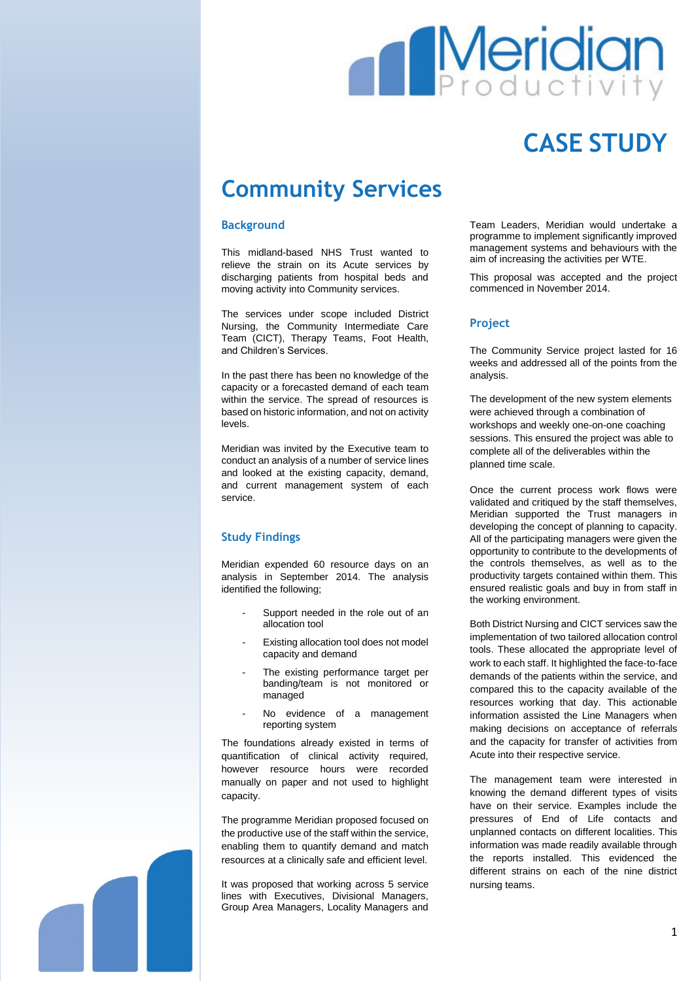

# **CASE STUDY**

## **Community Services**

#### **Background**

This midland-based NHS Trust wanted to relieve the strain on its Acute services by discharging patients from hospital beds and moving activity into Community services.

The services under scope included District Nursing, the Community Intermediate Care Team (CICT), Therapy Teams, Foot Health, and Children's Services.

In the past there has been no knowledge of the capacity or a forecasted demand of each team within the service. The spread of resources is based on historic information, and not on activity levels.

Meridian was invited by the Executive team to conduct an analysis of a number of service lines and looked at the existing capacity, demand, and current management system of each service.

#### **Study Findings**

Meridian expended 60 resource days on an analysis in September 2014. The analysis identified the following;

- Support needed in the role out of an allocation tool
- Existing allocation tool does not model capacity and demand
- The existing performance target per banding/team is not monitored or managed
- No evidence of a management reporting system

The foundations already existed in terms of quantification of clinical activity required, however resource hours were recorded manually on paper and not used to highlight capacity.

The programme Meridian proposed focused on the productive use of the staff within the service, enabling them to quantify demand and match resources at a clinically safe and efficient level.

It was proposed that working across 5 service lines with Executives, Divisional Managers, Group Area Managers, Locality Managers and Team Leaders, Meridian would undertake a programme to implement significantly improved management systems and behaviours with the aim of increasing the activities per WTE.

This proposal was accepted and the project commenced in November 2014.

#### **Project**

The Community Service project lasted for 16 weeks and addressed all of the points from the analysis.

The development of the new system elements were achieved through a combination of workshops and weekly one-on-one coaching sessions. This ensured the project was able to complete all of the deliverables within the planned time scale.

Once the current process work flows were validated and critiqued by the staff themselves, Meridian supported the Trust managers in developing the concept of planning to capacity. All of the participating managers were given the opportunity to contribute to the developments of the controls themselves, as well as to the productivity targets contained within them. This ensured realistic goals and buy in from staff in the working environment.

Both District Nursing and CICT services saw the implementation of two tailored allocation control tools. These allocated the appropriate level of work to each staff. It highlighted the face-to-face demands of the patients within the service, and compared this to the capacity available of the resources working that day. This actionable information assisted the Line Managers when making decisions on acceptance of referrals and the capacity for transfer of activities from Acute into their respective service.

The management team were interested in knowing the demand different types of visits have on their service. Examples include the pressures of End of Life contacts and unplanned contacts on different localities. This information was made readily available through the reports installed. This evidenced the different strains on each of the nine district nursing teams.